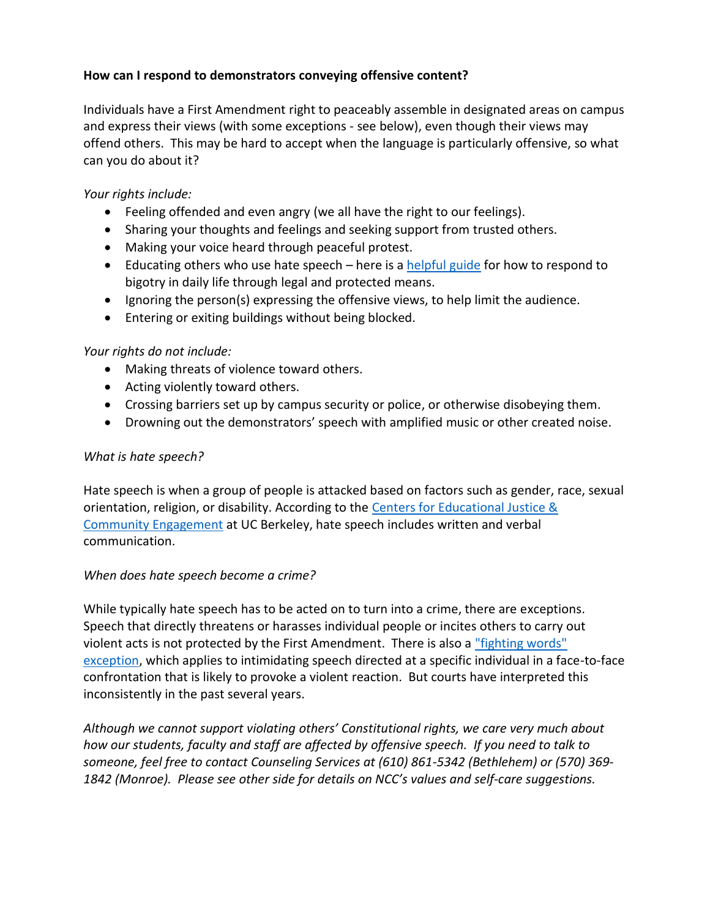# **How can I respond to demonstrators conveying offensive content?**

Individuals have a First Amendment right to peaceably assemble in designated areas on campus and express their views (with some exceptions - see below), even though their views may offend others. This may be hard to accept when the language is particularly offensive, so what can you do about it?

# *Your rights include:*

- Feeling offended and even angry (we all have the right to our feelings).
- Sharing your thoughts and feelings and seeking support from trusted others.
- Making your voice heard through peaceful protest.
- Educating others who use hate speech here is a [helpful guide](https://www.splcenter.org/20150126/speak-responding-everyday-bigotry) for how to respond to bigotry in daily life through legal and protected means.
- **Ignoring the person(s) expressing the offensive views, to help limit the audience.**
- Entering or exiting buildings without being blocked.

## *Your rights do not include:*

- Making threats of violence toward others.
- Acting violently toward others.
- Crossing barriers set up by campus security or police, or otherwise disobeying them.
- Drowning out the demonstrators' speech with amplified music or other created noise.

## *What is hate speech?*

Hate speech is when a group of people is attacked based on factors such as gender, race, sexual orientation, religion, or disability. According to the [Centers for Educational Justice &](http://ejce.berkeley.edu/report-incident/what-hate-crime#hatespeech)  [Community Engagement](http://ejce.berkeley.edu/report-incident/what-hate-crime#hatespeech) at UC Berkeley, hate speech includes written and verbal communication.

# *When does hate speech become a crime?*

While typically hate speech has to be acted on to turn into a crime, there are exceptions. Speech that directly threatens or harasses individual people or incites others to carry out violent acts is not protected by the First Amendment. There is also a ["fighting words"](https://www.aclu.org/other/speech-campus?redirect=other/hate-speech-campus)  [exception,](https://www.aclu.org/other/speech-campus?redirect=other/hate-speech-campus) which applies to intimidating speech directed at a specific individual in a face-to-face confrontation that is likely to provoke a violent reaction. But courts have interpreted this inconsistently in the past several years.

*Although we cannot support violating others' Constitutional rights, we care very much about how our students, faculty and staff are affected by offensive speech. If you need to talk to someone, feel free to contact Counseling Services at (610) 861-5342 (Bethlehem) or (570) 369- 1842 (Monroe). Please see other side for details on NCC's values and self-care suggestions.*